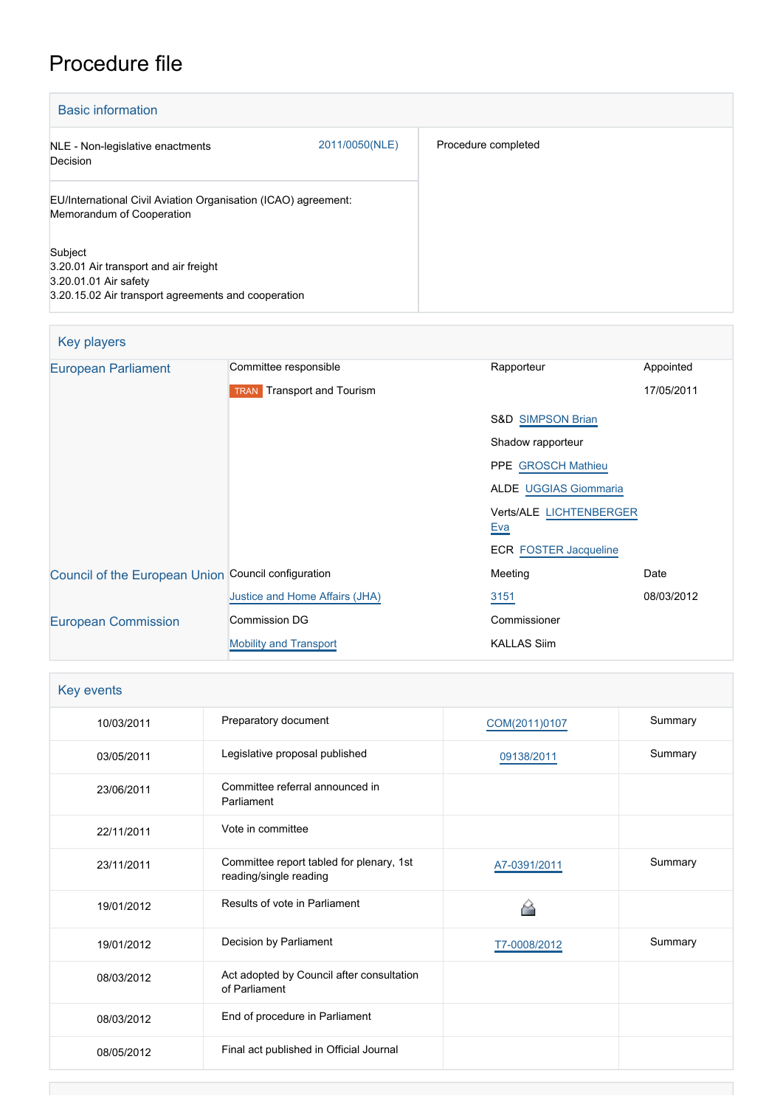## Procedure file

| <b>Basic information</b>                                                                                                         |                |                     |
|----------------------------------------------------------------------------------------------------------------------------------|----------------|---------------------|
| NLE - Non-legislative enactments<br>Decision                                                                                     | 2011/0050(NLE) | Procedure completed |
| EU/International Civil Aviation Organisation (ICAO) agreement:<br>Memorandum of Cooperation                                      |                |                     |
| Subject<br>3.20.01 Air transport and air freight<br>3.20.01.01 Air safety<br>3.20.15.02 Air transport agreements and cooperation |                |                     |

| Key players                                         |                                      |                                              |            |
|-----------------------------------------------------|--------------------------------------|----------------------------------------------|------------|
| <b>European Parliament</b>                          | Committee responsible                | Rapporteur                                   | Appointed  |
|                                                     | Transport and Tourism<br><b>TRAN</b> |                                              | 17/05/2011 |
|                                                     |                                      | <b>S&amp;D SIMPSON Brian</b>                 |            |
|                                                     |                                      | Shadow rapporteur                            |            |
|                                                     |                                      | PPE GROSCH Mathieu                           |            |
|                                                     |                                      | <b>ALDE UGGIAS Giommaria</b>                 |            |
|                                                     |                                      | <b>Verts/ALE LICHTENBERGER</b><br><b>Eva</b> |            |
|                                                     |                                      | <b>ECR FOSTER Jacqueline</b>                 |            |
| Council of the European Union Council configuration |                                      | Meeting                                      | Date       |
|                                                     | Justice and Home Affairs (JHA)       | 3151                                         | 08/03/2012 |
| <b>European Commission</b>                          | Commission DG                        | Commissioner                                 |            |
|                                                     | <b>Mobility and Transport</b>        | <b>KALLAS Siim</b>                           |            |

| Key events |                                                                    |               |         |
|------------|--------------------------------------------------------------------|---------------|---------|
| 10/03/2011 | Preparatory document                                               | COM(2011)0107 | Summary |
| 03/05/2011 | Legislative proposal published                                     | 09138/2011    | Summary |
| 23/06/2011 | Committee referral announced in<br>Parliament                      |               |         |
| 22/11/2011 | Vote in committee                                                  |               |         |
| 23/11/2011 | Committee report tabled for plenary, 1st<br>reading/single reading | A7-0391/2011  | Summary |
| 19/01/2012 | Results of vote in Parliament                                      |               |         |
| 19/01/2012 | Decision by Parliament                                             | T7-0008/2012  | Summary |
| 08/03/2012 | Act adopted by Council after consultation<br>of Parliament         |               |         |
| 08/03/2012 | End of procedure in Parliament                                     |               |         |
| 08/05/2012 | Final act published in Official Journal                            |               |         |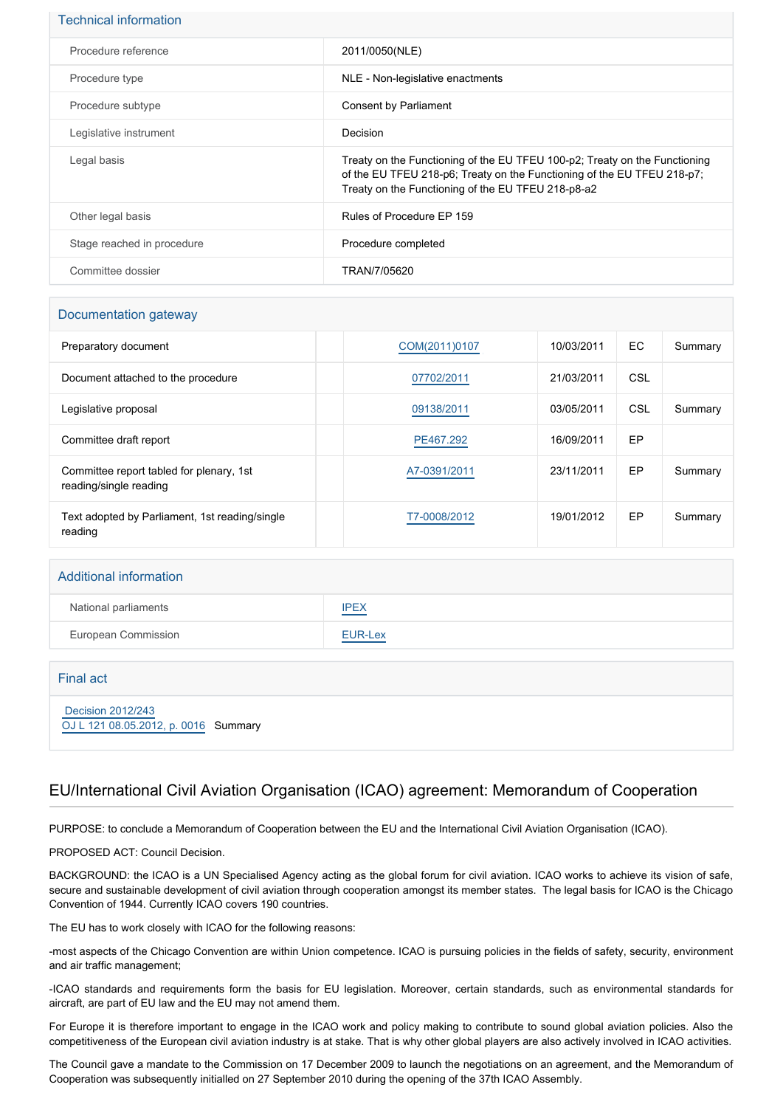| <b>Technical information</b> |                                                                                                                                                                                                             |
|------------------------------|-------------------------------------------------------------------------------------------------------------------------------------------------------------------------------------------------------------|
| Procedure reference          | 2011/0050(NLE)                                                                                                                                                                                              |
| Procedure type               | NLE - Non-legislative enactments                                                                                                                                                                            |
| Procedure subtype            | Consent by Parliament                                                                                                                                                                                       |
| Legislative instrument       | Decision                                                                                                                                                                                                    |
| Legal basis                  | Treaty on the Functioning of the EU TFEU 100-p2; Treaty on the Functioning<br>of the EU TFEU 218-p6; Treaty on the Functioning of the EU TFEU 218-p7;<br>Treaty on the Functioning of the EU TFEU 218-p8-a2 |
| Other legal basis            | Rules of Procedure EP 159                                                                                                                                                                                   |
| Stage reached in procedure   | Procedure completed                                                                                                                                                                                         |
| Committee dossier            | TRAN/7/05620                                                                                                                                                                                                |

#### Documentation gateway

| Preparatory document                                               | COM(2011)0107 | 10/03/2011 | EC. | Summary |
|--------------------------------------------------------------------|---------------|------------|-----|---------|
| Document attached to the procedure                                 | 07702/2011    | 21/03/2011 | CSL |         |
| Legislative proposal                                               | 09138/2011    | 03/05/2011 | CSL | Summary |
| Committee draft report                                             | PE467.292     | 16/09/2011 | EP  |         |
| Committee report tabled for plenary, 1st<br>reading/single reading | A7-0391/2011  | 23/11/2011 | EP  | Summary |
| Text adopted by Parliament, 1st reading/single<br>reading          | T7-0008/2012  | 19/01/2012 | EP  | Summary |

# Additional information National parliaments **[IPEX](http://www.ipex.eu/IPEXL-WEB/dossier/dossier.do?code=NLE&year=2011&number=0050&appLng=EN)** European Commission **[EUR-Lex](http://ec.europa.eu/prelex/liste_resultats.cfm?CL=en&ReqId=0&DocType=NLE&DocYear=2011&DocNum=0050)**

| Final act                                                 |  |
|-----------------------------------------------------------|--|
| Decision 2012/243<br>OJ L 121 08.05.2012, p. 0016 Summary |  |

### EU/International Civil Aviation Organisation (ICAO) agreement: Memorandum of Cooperation

PURPOSE: to conclude a Memorandum of Cooperation between the EU and the International Civil Aviation Organisation (ICAO).

PROPOSED ACT: Council Decision.

BACKGROUND: the ICAO is a UN Specialised Agency acting as the global forum for civil aviation. ICAO works to achieve its vision of safe, secure and sustainable development of civil aviation through cooperation amongst its member states. The legal basis for ICAO is the Chicago Convention of 1944. Currently ICAO covers 190 countries.

The EU has to work closely with ICAO for the following reasons:

-most aspects of the Chicago Convention are within Union competence. ICAO is pursuing policies in the fields of safety, security, environment and air traffic management;

-ICAO standards and requirements form the basis for EU legislation. Moreover, certain standards, such as environmental standards for aircraft, are part of EU law and the EU may not amend them.

For Europe it is therefore important to engage in the ICAO work and policy making to contribute to sound global aviation policies. Also the competitiveness of the European civil aviation industry is at stake. That is why other global players are also actively involved in ICAO activities.

The Council gave a mandate to the Commission on 17 December 2009 to launch the negotiations on an agreement, and the Memorandum of Cooperation was subsequently initialled on 27 September 2010 during the opening of the 37th ICAO Assembly.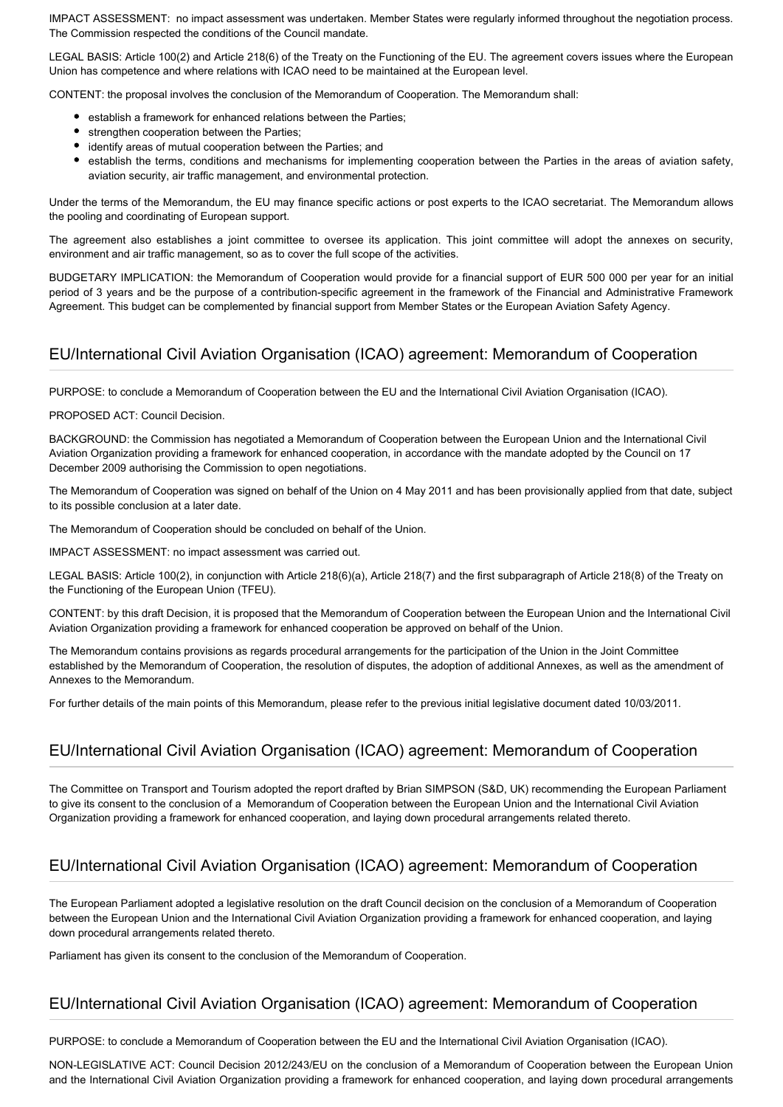IMPACT ASSESSMENT: no impact assessment was undertaken. Member States were regularly informed throughout the negotiation process. The Commission respected the conditions of the Council mandate.

LEGAL BASIS: Article 100(2) and Article 218(6) of the Treaty on the Functioning of the EU. The agreement covers issues where the European Union has competence and where relations with ICAO need to be maintained at the European level.

CONTENT: the proposal involves the conclusion of the Memorandum of Cooperation. The Memorandum shall:

- **•** establish a framework for enhanced relations between the Parties;
- strengthen cooperation between the Parties;
- identify areas of mutual cooperation between the Parties; and
- establish the terms, conditions and mechanisms for implementing cooperation between the Parties in the areas of aviation safety, aviation security, air traffic management, and environmental protection.

Under the terms of the Memorandum, the EU may finance specific actions or post experts to the ICAO secretariat. The Memorandum allows the pooling and coordinating of European support.

The agreement also establishes a joint committee to oversee its application. This joint committee will adopt the annexes on security, environment and air traffic management, so as to cover the full scope of the activities.

BUDGETARY IMPLICATION: the Memorandum of Cooperation would provide for a financial support of EUR 500 000 per year for an initial period of 3 years and be the purpose of a contribution-specific agreement in the framework of the Financial and Administrative Framework Agreement. This budget can be complemented by financial support from Member States or the European Aviation Safety Agency.

#### EU/International Civil Aviation Organisation (ICAO) agreement: Memorandum of Cooperation

PURPOSE: to conclude a Memorandum of Cooperation between the EU and the International Civil Aviation Organisation (ICAO).

PROPOSED ACT: Council Decision.

BACKGROUND: the Commission has negotiated a Memorandum of Cooperation between the European Union and the International Civil Aviation Organization providing a framework for enhanced cooperation, in accordance with the mandate adopted by the Council on 17 December 2009 authorising the Commission to open negotiations.

The Memorandum of Cooperation was signed on behalf of the Union on 4 May 2011 and has been provisionally applied from that date, subject to its possible conclusion at a later date.

The Memorandum of Cooperation should be concluded on behalf of the Union.

IMPACT ASSESSMENT: no impact assessment was carried out.

LEGAL BASIS: Article 100(2), in conjunction with Article 218(6)(a), Article 218(7) and the first subparagraph of Article 218(8) of the Treaty on the Functioning of the European Union (TFEU).

CONTENT: by this draft Decision, it is proposed that the Memorandum of Cooperation between the European Union and the International Civil Aviation Organization providing a framework for enhanced cooperation be approved on behalf of the Union.

The Memorandum contains provisions as regards procedural arrangements for the participation of the Union in the Joint Committee established by the Memorandum of Cooperation, the resolution of disputes, the adoption of additional Annexes, as well as the amendment of Annexes to the Memorandum.

For further details of the main points of this Memorandum, please refer to the previous initial legislative document dated 10/03/2011.

### EU/International Civil Aviation Organisation (ICAO) agreement: Memorandum of Cooperation

The Committee on Transport and Tourism adopted the report drafted by Brian SIMPSON (S&D, UK) recommending the European Parliament to give its consent to the conclusion of a Memorandum of Cooperation between the European Union and the International Civil Aviation Organization providing a framework for enhanced cooperation, and laying down procedural arrangements related thereto.

### EU/International Civil Aviation Organisation (ICAO) agreement: Memorandum of Cooperation

The European Parliament adopted a legislative resolution on the draft Council decision on the conclusion of a Memorandum of Cooperation between the European Union and the International Civil Aviation Organization providing a framework for enhanced cooperation, and laying down procedural arrangements related thereto.

Parliament has given its consent to the conclusion of the Memorandum of Cooperation.

#### EU/International Civil Aviation Organisation (ICAO) agreement: Memorandum of Cooperation

PURPOSE: to conclude a Memorandum of Cooperation between the EU and the International Civil Aviation Organisation (ICAO).

NON-LEGISLATIVE ACT: Council Decision 2012/243/EU on the conclusion of a Memorandum of Cooperation between the European Union and the International Civil Aviation Organization providing a framework for enhanced cooperation, and laying down procedural arrangements